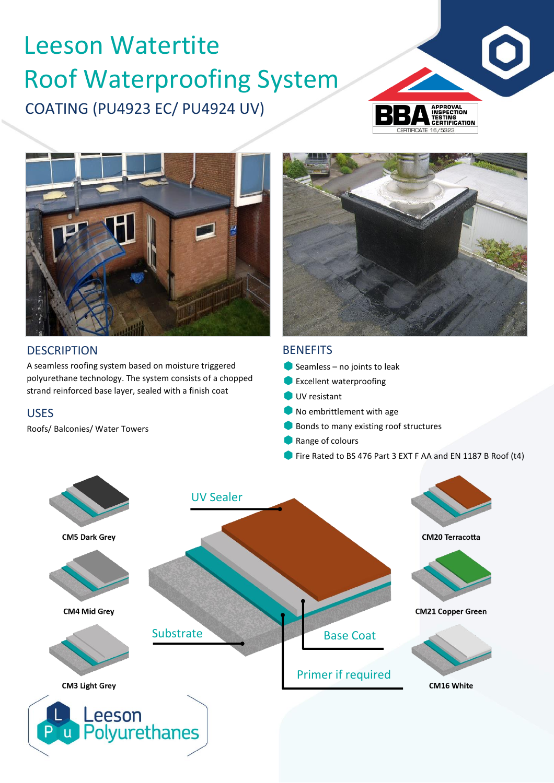# Leeson Watertite Roof Waterproofing System COATING (PU4923 EC/ PU4924 UV)





### **DESCRIPTION**

A seamless roofing system based on moisture triggered polyurethane technology. The system consists of a chopped strand reinforced base layer, sealed with a finish coat

#### USES

Roofs/ Balconies/ Water Towers



#### **BENEFITS**

- Seamless no joints to leak
- Excellent waterproofing
- UV resistant
- No embrittlement with age
- Bonds to many existing roof structures
- Range of colours
- Fire Rated to BS 476 Part 3 EXT F AA and EN 1187 B Roof (t4)